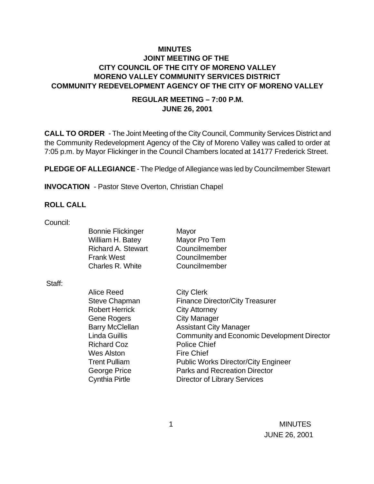## **MINUTES JOINT MEETING OF THE CITY COUNCIL OF THE CITY OF MORENO VALLEY MORENO VALLEY COMMUNITY SERVICES DISTRICT COMMUNITY REDEVELOPMENT AGENCY OF THE CITY OF MORENO VALLEY**

### **REGULAR MEETING – 7:00 P.M. JUNE 26, 2001**

**CALL TO ORDER** - The Joint Meeting of the City Council, Community Services District and the Community Redevelopment Agency of the City of Moreno Valley was called to order at 7:05 p.m. by Mayor Flickinger in the Council Chambers located at 14177 Frederick Street.

**PLEDGE OF ALLEGIANCE** - The Pledge of Allegiance was led by Councilmember Stewart

**INVOCATION** - Pastor Steve Overton, Christian Chapel

#### **ROLL CALL**

Council:

| <b>Bonnie Flickinger</b>  |
|---------------------------|
| William H. Batey          |
| <b>Richard A. Stewart</b> |
| <b>Frank West</b>         |
| <b>Charles R. White</b>   |

Mayor Mavor Pro Tem **Councilmember** Councilmember **Councilmember** 

Staff:

Alice Reed City Clerk Robert Herrick City Attorney Gene Rogers City Manager Richard Coz **Police Chief** Wes Alston Fire Chief

Steve Chapman Finance Director/City Treasurer Barry McClellan **Assistant City Manager** Linda Guillis Community and Economic Development Director Trent Pulliam Public Works Director/City Engineer George Price **Parks and Recreation Director** Cynthia Pirtle Director of Library Services

 1 MINUTES JUNE 26, 2001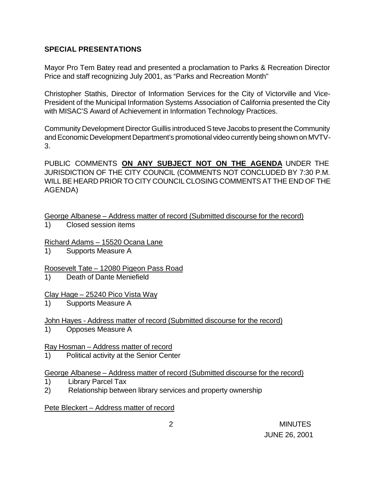## **SPECIAL PRESENTATIONS**

Mayor Pro Tem Batey read and presented a proclamation to Parks & Recreation Director Price and staff recognizing July 2001, as "Parks and Recreation Month"

Christopher Stathis, Director of Information Services for the City of Victorville and Vice-President of the Municipal Information Systems Association of California presented the City with MISAC'S Award of Achievement in Information Technology Practices.

Community Development Director Guillis introduced Steve Jacobs to present the Community and Economic Development Department's promotional video currently being shown on MVTV-3.

PUBLIC COMMENTS **ON ANY SUBJECT NOT ON THE AGENDA** UNDER THE JURISDICTION OF THE CITY COUNCIL (COMMENTS NOT CONCLUDED BY 7:30 P.M. WILL BE HEARD PRIOR TO CITY COUNCIL CLOSING COMMENTS AT THE END OF THE AGENDA)

George Albanese – Address matter of record (Submitted discourse for the record)

1) Closed session items

## Richard Adams – 15520 Ocana Lane

1) Supports Measure A

## Roosevelt Tate – 12080 Pigeon Pass Road

1) Death of Dante Meniefield

## Clay Hage – 25240 Pico Vista Way

1) Supports Measure A

# John Hayes - Address matter of record (Submitted discourse for the record)

1) Opposes Measure A

## Ray Hosman – Address matter of record

1) Political activity at the Senior Center

## George Albanese – Address matter of record (Submitted discourse for the record)

- 1) Library Parcel Tax
- 2) Relationship between library services and property ownership

Pete Bleckert – Address matter of record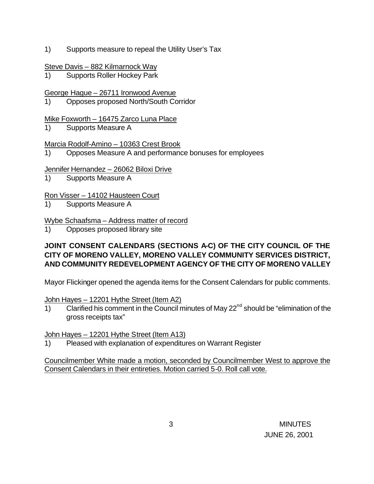- 1) Supports measure to repeal the Utility User's Tax
- Steve Davis 882 Kilmarnock Way
- 1) Supports Roller Hockey Park

George Hague – 26711 Ironwood Avenue

1) Opposes proposed North/South Corridor

## Mike Foxworth – 16475 Zarco Luna Place

1) Supports Measure A

## Marcia Rodolf-Amino – 10363 Crest Brook

1) Opposes Measure A and performance bonuses for employees

## Jennifer Hernandez – 26062 Biloxi Drive

1) Supports Measure A

## Ron Visser – 14102 Hausteen Court

1) Supports Measure A

## Wybe Schaafsma – Address matter of record

1) Opposes proposed library site

## **JOINT CONSENT CALENDARS (SECTIONS A-C) OF THE CITY COUNCIL OF THE CITY OF MORENO VALLEY, MORENO VALLEY COMMUNITY SERVICES DISTRICT, AND COMMUNITY REDEVELOPMENT AGENCY OF THE CITY OF MORENO VALLEY**

Mayor Flickinger opened the agenda items for the Consent Calendars for public comments.

## John Hayes – 12201 Hythe Street (Item A2)

1) Clarified his comment in the Council minutes of May 22<sup>nd</sup> should be "elimination of the gross receipts tax"

#### John Hayes – 12201 Hythe Street (Item A13)

1) Pleased with explanation of expenditures on Warrant Register

Councilmember White made a motion, seconded by Councilmember West to approve the Consent Calendars in their entireties. Motion carried 5-0. Roll call vote.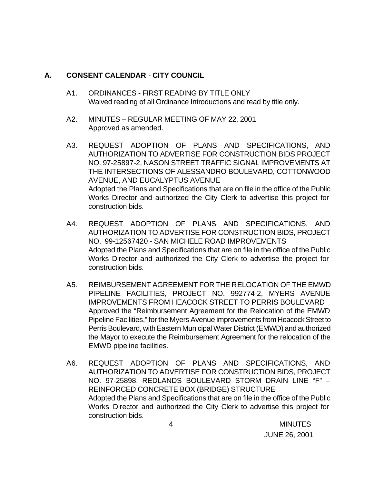### **A. CONSENT CALENDAR** - **CITY COUNCIL**

- A1. ORDINANCES FIRST READING BY TITLE ONLY Waived reading of all Ordinance Introductions and read by title only.
- A2. MINUTES REGULAR MEETING OF MAY 22, 2001 Approved as amended.
- A3. REQUEST ADOPTION OF PLANS AND SPECIFICATIONS, AND AUTHORIZATION TO ADVERTISE FOR CONSTRUCTION BIDS PROJECT NO. 97-25897-2, NASON STREET TRAFFIC SIGNAL IMPROVEMENTS AT THE INTERSECTIONS OF ALESSANDRO BOULEVARD, COTTONWOOD AVENUE, AND EUCALYPTUS AVENUE Adopted the Plans and Specifications that are on file in the office of the Public Works Director and authorized the City Clerk to advertise this project for construction bids.
- A4. REQUEST ADOPTION OF PLANS AND SPECIFICATIONS, AND AUTHORIZATION TO ADVERTISE FOR CONSTRUCTION BIDS, PROJECT NO. 99-12567420 - SAN MICHELE ROAD IMPROVEMENTS Adopted the Plans and Specifications that are on file in the office of the Public Works Director and authorized the City Clerk to advertise the project for construction bids.
- A5. REIMBURSEMENT AGREEMENT FOR THE RELOCATION OF THE EMWD PIPELINE FACILITIES, PROJECT NO. 992774-2, MYERS AVENUE IMPROVEMENTS FROM HEACOCK STREET TO PERRIS BOULEVARD Approved the "Reimbursement Agreement for the Relocation of the EMWD Pipeline Facilities," for the Myers Avenue improvements from Heacock Street to Perris Boulevard, with Eastern Municipal Water District (EMWD) and authorized the Mayor to execute the Reimbursement Agreement for the relocation of the EMWD pipeline facilities.
- A6. REQUEST ADOPTION OF PLANS AND SPECIFICATIONS, AND AUTHORIZATION TO ADVERTISE FOR CONSTRUCTION BIDS, PROJECT NO. 97-25898, REDLANDS BOULEVARD STORM DRAIN LINE "F" – REINFORCED CONCRETE BOX (BRIDGE) STRUCTURE Adopted the Plans and Specifications that are on file in the office of the Public Works Director and authorized the City Clerk to advertise this project for construction bids.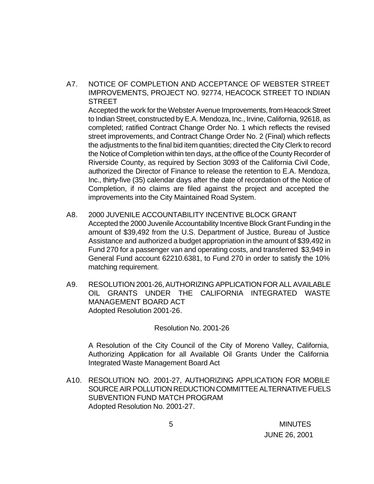A7. NOTICE OF COMPLETION AND ACCEPTANCE OF WEBSTER STREET IMPROVEMENTS, PROJECT NO. 92774, HEACOCK STREET TO INDIAN **STREET** 

Accepted the work for the Webster Avenue Improvements, from Heacock Street to Indian Street, constructed by E.A. Mendoza, Inc., Irvine, California, 92618, as completed; ratified Contract Change Order No. 1 which reflects the revised street improvements, and Contract Change Order No. 2 (Final) which reflects the adjustments to the final bid item quantities; directed the City Clerk to record the Notice of Completion within ten days, at the office of the County Recorder of Riverside County, as required by Section 3093 of the California Civil Code, authorized the Director of Finance to release the retention to E.A. Mendoza, Inc., thirty-five (35) calendar days after the date of recordation of the Notice of Completion, if no claims are filed against the project and accepted the improvements into the City Maintained Road System.

A8. 2000 JUVENILE ACCOUNTABILITY INCENTIVE BLOCK GRANT Accepted the 2000 Juvenile Accountability Incentive Block Grant Funding in the amount of \$39,492 from the U.S. Department of Justice, Bureau of Justice Assistance and authorized a budget appropriation in the amount of \$39,492 in

Fund 270 for a passenger van and operating costs, and transferred \$3,949 in General Fund account 62210.6381, to Fund 270 in order to satisfy the 10% matching requirement.

A9. RESOLUTION 2001-26, AUTHORIZING APPLICATION FOR ALL AVAILABLE OIL GRANTS UNDER THE CALIFORNIA INTEGRATED WASTE MANAGEMENT BOARD ACT Adopted Resolution 2001-26.

Resolution No. 2001-26

A Resolution of the City Council of the City of Moreno Valley, California, Authorizing Application for all Available Oil Grants Under the California Integrated Waste Management Board Act

A10. RESOLUTION NO. 2001-27, AUTHORIZING APPLICATION FOR MOBILE SOURCE AIR POLLUTION REDUCTION COMMITTEE ALTERNATIVE FUELS SUBVENTION FUND MATCH PROGRAM Adopted Resolution No. 2001-27.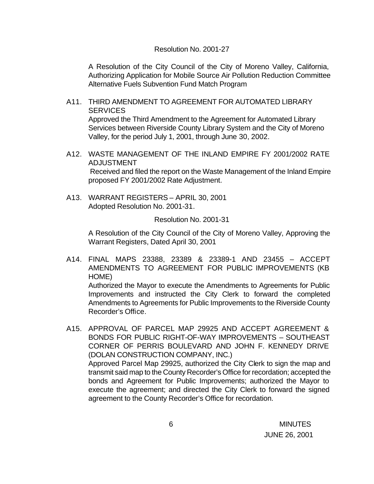#### Resolution No. 2001-27

A Resolution of the City Council of the City of Moreno Valley, California, Authorizing Application for Mobile Source Air Pollution Reduction Committee Alternative Fuels Subvention Fund Match Program

- A11. THIRD AMENDMENT TO AGREEMENT FOR AUTOMATED LIBRARY **SERVICES** Approved the Third Amendment to the Agreement for Automated Library Services between Riverside County Library System and the City of Moreno Valley, for the period July 1, 2001, through June 30, 2002.
- A12. WASTE MANAGEMENT OF THE INLAND EMPIRE FY 2001/2002 RATE ADJUSTMENT Received and filed the report on the Waste Management of the Inland Empire proposed FY 2001/2002 Rate Adjustment.
- A13. WARRANT REGISTERS APRIL 30, 2001 Adopted Resolution No. 2001-31.

Resolution No. 2001-31

A Resolution of the City Council of the City of Moreno Valley, Approving the Warrant Registers, Dated April 30, 2001

A14. FINAL MAPS 23388, 23389 & 23389-1 AND 23455 – ACCEPT AMENDMENTS TO AGREEMENT FOR PUBLIC IMPROVEMENTS (KB HOME)

Authorized the Mayor to execute the Amendments to Agreements for Public Improvements and instructed the City Clerk to forward the completed Amendments to Agreements for Public Improvements to the Riverside County Recorder's Office.

A15. APPROVAL OF PARCEL MAP 29925 AND ACCEPT AGREEMENT & BONDS FOR PUBLIC RIGHT-OF-WAY IMPROVEMENTS – SOUTHEAST CORNER OF PERRIS BOULEVARD AND JOHN F. KENNEDY DRIVE (DOLAN CONSTRUCTION COMPANY, INC.) Approved Parcel Map 29925, authorized the City Clerk to sign the map and transmit said map to the County Recorder's Office for recordation; accepted the bonds and Agreement for Public Improvements; authorized the Mayor to execute the agreement; and directed the City Clerk to forward the signed agreement to the County Recorder's Office for recordation.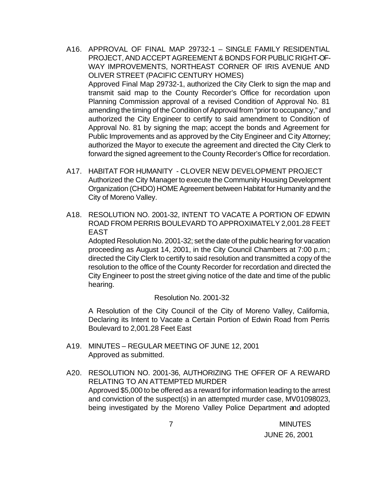- A16. APPROVAL OF FINAL MAP 29732-1 SINGLE FAMILY RESIDENTIAL PROJECT, AND ACCEPT AGREEMENT & BONDS FOR PUBLIC RIGHT-OF-WAY IMPROVEMENTS, NORTHEAST CORNER OF IRIS AVENUE AND OLIVER STREET (PACIFIC CENTURY HOMES) Approved Final Map 29732-1, authorized the City Clerk to sign the map and transmit said map to the County Recorder's Office for recordation upon Planning Commission approval of a revised Condition of Approval No. 81 amending the timing of the Condition of Approval from "prior to occupancy," and authorized the City Engineer to certify to said amendment to Condition of Approval No. 81 by signing the map; accept the bonds and Agreement for Public Improvements and as approved by the City Engineer and City Attorney; authorized the Mayor to execute the agreement and directed the City Clerk to forward the signed agreement to the County Recorder's Office for recordation.
- A17. HABITAT FOR HUMANITY CLOVER NEW DEVELOPMENT PROJECT Authorized the City Manager to execute the Community Housing Development Organization (CHDO) HOME Agreement between Habitat for Humanity and the City of Moreno Valley.
- A18. RESOLUTION NO. 2001-32, INTENT TO VACATE A PORTION OF EDWIN ROAD FROM PERRIS BOULEVARD TO APPROXIMATELY 2,001.28 FEET EAST

Adopted Resolution No. 2001-32; set the date of the public hearing for vacation proceeding as August 14, 2001, in the City Council Chambers at 7:00 p.m.; directed the City Clerk to certify to said resolution and transmitted a copy of the resolution to the office of the County Recorder for recordation and directed the City Engineer to post the street giving notice of the date and time of the public hearing.

#### Resolution No. 2001-32

A Resolution of the City Council of the City of Moreno Valley, California, Declaring its Intent to Vacate a Certain Portion of Edwin Road from Perris Boulevard to 2,001.28 Feet East

- A19. MINUTES REGULAR MEETING OF JUNE 12, 2001 Approved as submitted.
- A20. RESOLUTION NO. 2001-36, AUTHORIZING THE OFFER OF A REWARD RELATING TO AN ATTEMPTED MURDER Approved \$5,000 to be offered as a reward for information leading to the arrest and conviction of the suspect(s) in an attempted murder case, MV01098023, being investigated by the Moreno Valley Police Department and adopted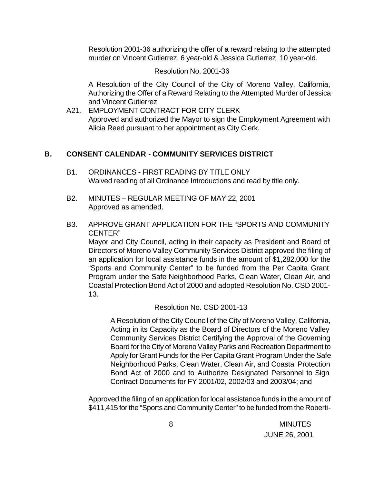Resolution 2001-36 authorizing the offer of a reward relating to the attempted murder on Vincent Gutierrez, 6 year-old & Jessica Gutierrez, 10 year-old.

Resolution No. 2001-36

A Resolution of the City Council of the City of Moreno Valley, California, Authorizing the Offer of a Reward Relating to the Attempted Murder of Jessica and Vincent Gutierrez

A21. EMPLOYMENT CONTRACT FOR CITY CLERK Approved and authorized the Mayor to sign the Employment Agreement with Alicia Reed pursuant to her appointment as City Clerk.

## **B. CONSENT CALENDAR** - **COMMUNITY SERVICES DISTRICT**

- B1. ORDINANCES FIRST READING BY TITLE ONLY Waived reading of all Ordinance Introductions and read by title only.
- B2. MINUTES REGULAR MEETING OF MAY 22, 2001 Approved as amended.
- B3. APPROVE GRANT APPLICATION FOR THE "SPORTS AND COMMUNITY CENTER"

Mayor and City Council, acting in their capacity as President and Board of Directors of Moreno Valley Community Services District approved the filing of an application for local assistance funds in the amount of \$1,282,000 for the "Sports and Community Center" to be funded from the Per Capita Grant Program under the Safe Neighborhood Parks, Clean Water, Clean Air, and Coastal Protection Bond Act of 2000 and adopted Resolution No. CSD 2001- 13.

Resolution No. CSD 2001-13

A Resolution of the City Council of the City of Moreno Valley, California, Acting in its Capacity as the Board of Directors of the Moreno Valley Community Services District Certifying the Approval of the Governing Board for the City of Moreno Valley Parks and Recreation Department to Apply for Grant Funds for the Per Capita Grant Program Under the Safe Neighborhood Parks, Clean Water, Clean Air, and Coastal Protection Bond Act of 2000 and to Authorize Designated Personnel to Sign Contract Documents for FY 2001/02, 2002/03 and 2003/04; and

Approved the filing of an application for local assistance funds in the amount of \$411,415 for the "Sports and Community Center" to be funded from the Roberti-

 8 MINUTES JUNE 26, 2001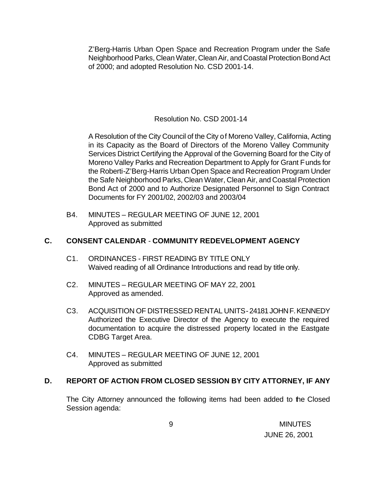Z'Berg-Harris Urban Open Space and Recreation Program under the Safe Neighborhood Parks, Clean Water, Clean Air, and Coastal Protection Bond Act of 2000; and adopted Resolution No. CSD 2001-14.

## Resolution No. CSD 2001-14

A Resolution of the City Council of the City of Moreno Valley, California, Acting in its Capacity as the Board of Directors of the Moreno Valley Community Services District Certifying the Approval of the Governing Board for the City of Moreno Valley Parks and Recreation Department to Apply for Grant Funds for the Roberti-Z'Berg-Harris Urban Open Space and Recreation Program Under the Safe Neighborhood Parks, Clean Water, Clean Air, and Coastal Protection Bond Act of 2000 and to Authorize Designated Personnel to Sign Contract Documents for FY 2001/02, 2002/03 and 2003/04

B4. MINUTES – REGULAR MEETING OF JUNE 12, 2001 Approved as submitted

### **C. CONSENT CALENDAR** - **COMMUNITY REDEVELOPMENT AGENCY**

- C1. ORDINANCES FIRST READING BY TITLE ONLY Waived reading of all Ordinance Introductions and read by title only.
- C2. MINUTES REGULAR MEETING OF MAY 22, 2001 Approved as amended.
- C3. ACQUISITION OF DISTRESSED RENTAL UNITS 24181 JOHN F. KENNEDY Authorized the Executive Director of the Agency to execute the required documentation to acquire the distressed property located in the Eastgate CDBG Target Area.
- C4. MINUTES REGULAR MEETING OF JUNE 12, 2001 Approved as submitted

#### **D. REPORT OF ACTION FROM CLOSED SESSION BY CITY ATTORNEY, IF ANY**

The City Attorney announced the following items had been added to the Closed Session agenda: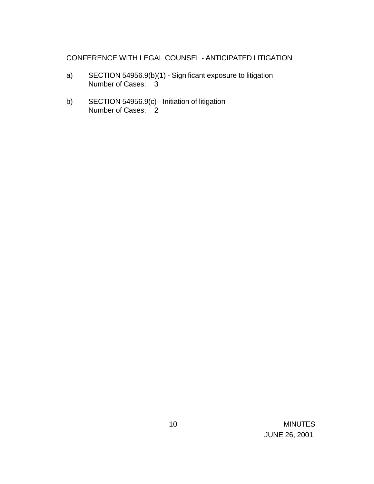## CONFERENCE WITH LEGAL COUNSEL - ANTICIPATED LITIGATION

- a) SECTION 54956.9(b)(1) Significant exposure to litigation Number of Cases: 3
- b) SECTION 54956.9(c) Initiation of litigation Number of Cases: 2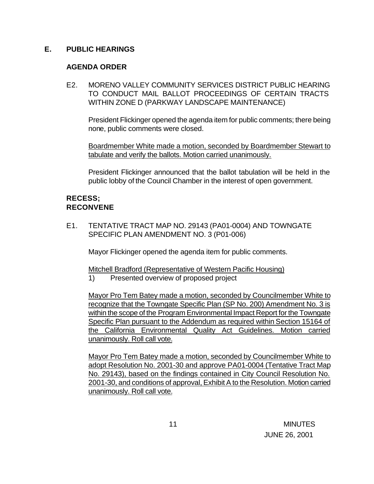## **E. PUBLIC HEARINGS**

## **AGENDA ORDER**

E2. MORENO VALLEY COMMUNITY SERVICES DISTRICT PUBLIC HEARING TO CONDUCT MAIL BALLOT PROCEEDINGS OF CERTAIN TRACTS WITHIN ZONE D (PARKWAY LANDSCAPE MAINTENANCE)

President Flickinger opened the agenda item for public comments; there being none, public comments were closed.

Boardmember White made a motion, seconded by Boardmember Stewart to tabulate and verify the ballots. Motion carried unanimously.

President Flickinger announced that the ballot tabulation will be held in the public lobby of the Council Chamber in the interest of open government.

## **RECESS; RECONVENE**

E1. TENTATIVE TRACT MAP NO. 29143 (PA01-0004) AND TOWNGATE SPECIFIC PLAN AMENDMENT NO. 3 (P01-006)

Mayor Flickinger opened the agenda item for public comments.

Mitchell Bradford (Representative of Western Pacific Housing)

1) Presented overview of proposed project

Mayor Pro Tem Batey made a motion, seconded by Councilmember White to recognize that the Towngate Specific Plan (SP No. 200) Amendment No. 3 is within the scope of the Program Environmental Impact Report for the Towngate Specific Plan pursuant to the Addendum as required within Section 15164 of the California Environmental Quality Act Guidelines. Motion carried unanimously. Roll call vote.

Mayor Pro Tem Batey made a motion, seconded by Councilmember White to adopt Resolution No. 2001-30 and approve PA01-0004 (Tentative Tract Map No. 29143), based on the findings contained in City Council Resolution No. 2001-30, and conditions of approval, Exhibit A to the Resolution. Motion carried unanimously. Roll call vote.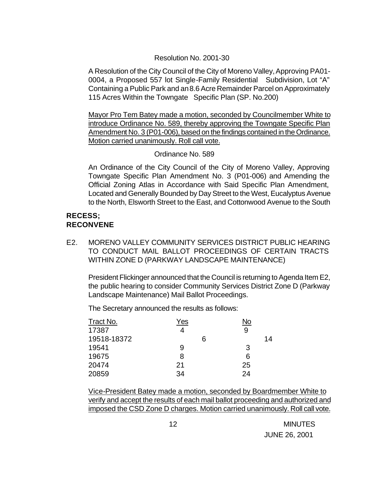#### Resolution No. 2001-30

A Resolution of the City Council of the City of Moreno Valley, Approving PA01- 0004, a Proposed 557 lot Single-Family Residential Subdivision, Lot "A" Containing a Public Park and an 8.6 Acre Remainder Parcel on Approximately 115 Acres Within the Towngate Specific Plan (SP. No.200)

Mayor Pro Tem Batey made a motion, seconded by Councilmember White to introduce Ordinance No. 589, thereby approving the Towngate Specific Plan Amendment No. 3 (P01-006), based on the findings contained in the Ordinance. Motion carried unanimously. Roll call vote.

## Ordinance No. 589

An Ordinance of the City Council of the City of Moreno Valley, Approving Towngate Specific Plan Amendment No. 3 (P01-006) and Amending the Official Zoning Atlas in Accordance with Said Specific Plan Amendment, Located and Generally Bounded by Day Street to the West, Eucalyptus Avenue to the North, Elsworth Street to the East, and Cottonwood Avenue to the South

## **RECESS; RECONVENE**

E2. MORENO VALLEY COMMUNITY SERVICES DISTRICT PUBLIC HEARING TO CONDUCT MAIL BALLOT PROCEEDINGS OF CERTAIN TRACTS WITHIN ZONE D (PARKWAY LANDSCAPE MAINTENANCE)

President Flickinger announced that the Council is returning to Agenda Item E2, the public hearing to consider Community Services District Zone D (Parkway Landscape Maintenance) Mail Ballot Proceedings.

The Secretary announced the results as follows:

| Tract No.   | Yes | No |
|-------------|-----|----|
| 17387       |     | 9  |
| 19518-18372 | 6   | 14 |
| 19541       | 9   | 3  |
| 19675       | 8   | 6  |
| 20474       | 21  | 25 |
| 20859       | 34  | 24 |

Vice-President Batey made a motion, seconded by Boardmember White to verify and accept the results of each mail ballot proceeding and authorized and imposed the CSD Zone D charges. Motion carried unanimously. Roll call vote.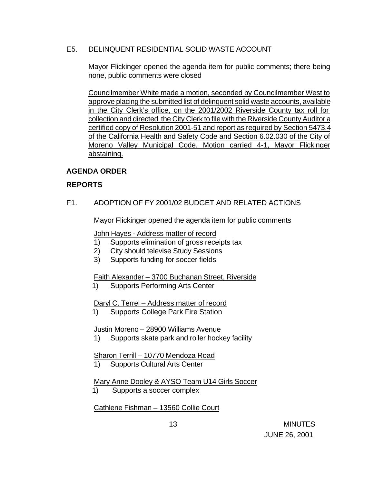## E5. DELINQUENT RESIDENTIAL SOLID WASTE ACCOUNT

Mayor Flickinger opened the agenda item for public comments; there being none, public comments were closed

Councilmember White made a motion, seconded by Councilmember West to approve placing the submitted list of delinquent solid waste accounts, available in the City Clerk's office, on the 2001/2002 Riverside County tax roll for collection and directed the City Clerk to file with the Riverside County Auditor a certified copy of Resolution 2001-51 and report as required by Section 5473.4 of the California Health and Safety Code and Section 6.02.030 of the City of Moreno Valley Municipal Code. Motion carried 4-1, Mayor Flickinger abstaining.

## **AGENDA ORDER**

## **REPORTS**

F1. ADOPTION OF FY 2001/02 BUDGET AND RELATED ACTIONS

Mayor Flickinger opened the agenda item for public comments

John Hayes - Address matter of record

- 1) Supports elimination of gross receipts tax
- 2) City should televise Study Sessions
- 3) Supports funding for soccer fields

Faith Alexander – 3700 Buchanan Street, Riverside

1) Supports Performing Arts Center

Daryl C. Terrel – Address matter of record

1) Supports College Park Fire Station

Justin Moreno – 28900 Williams Avenue

1) Supports skate park and roller hockey facility

## Sharon Terrill – 10770 Mendoza Road

1) Supports Cultural Arts Center

# Mary Anne Dooley & AYSO Team U14 Girls Soccer

1) Supports a soccer complex

Cathlene Fishman – 13560 Collie Court

 13 MINUTES JUNE 26, 2001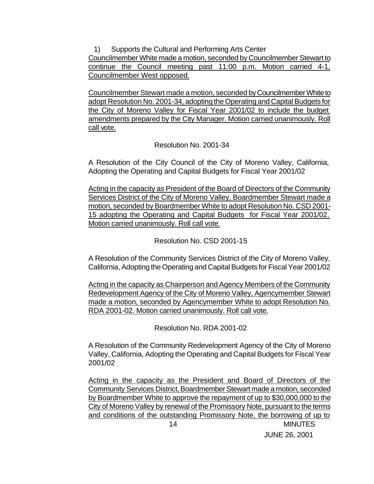1) Supports the Cultural and Performing Arts Center

Councilmember White made a motion, seconded by Councilmember Stewart to continue the Council meeting past 11:00 p.m. Motion carried 4-1, Councilmember West opposed.

Councilmember Stewart made a motion, seconded by Councilmember White to adopt Resolution No. 2001-34, adopting the Operating and Capital Budgets for the City of Moreno Valley for Fiscal Year 2001/02 to include the budget amendments prepared by the City Manager. Motion carried unanimously. Roll call vote.

Resolution No. 2001-34

A Resolution of the City Council of the City of Moreno Valley, California, Adopting the Operating and Capital Budgets for Fiscal Year 2001/02

Acting in the capacity as President of the Board of Directors of the Community Services District of the City of Moreno Valley, Boardmember Stewart made a motion, seconded by Boardmember White to adopt Resolution No. CSD 2001- 15 adopting the Operating and Capital Budgets for Fiscal Year 2001/02. Motion carried unanimously. Roll call vote.

Resolution No. CSD 2001-15

A Resolution of the Community Services District of the City of Moreno Valley, California, Adopting the Operating and Capital Budgets for Fiscal Year 2001/02

Acting in the capacity as Chairperson and Agency Members of the Community Redevelopment Agency of the City of Moreno Valley, Agencymember Stewart made a motion, seconded by Agencymember White to adopt Resolution No. RDA 2001-02. Motion carried unanimously. Roll call vote.

Resolution No. RDA 2001-02

A Resolution of the Community Redevelopment Agency of the City of Moreno Valley, California, Adopting the Operating and Capital Budgets for Fiscal Year 2001/02

 14 MINUTES Acting in the capacity as the President and Board of Directors of the Community Services District, Boardmember Stewart made a motion, seconded by Boardmember White to approve the repayment of up to \$30,000,000 to the City of Moreno Valley by renewal of the Promissory Note, pursuant to the terms and conditions of the outstanding Promissory Note, the borrowing of up to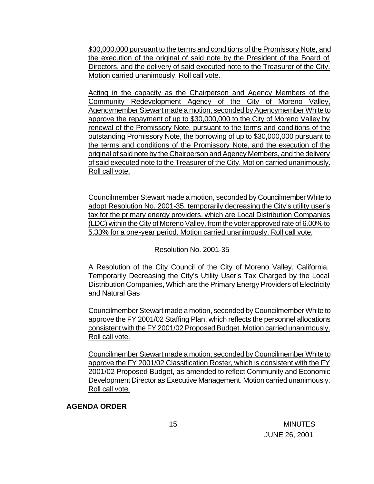\$30,000,000 pursuant to the terms and conditions of the Promissory Note, and the execution of the original of said note by the President of the Board of Directors, and the delivery of said executed note to the Treasurer of the City. Motion carried unanimously. Roll call vote.

Acting in the capacity as the Chairperson and Agency Members of the Community Redevelopment Agency of the City of Moreno Valley, Agencymember Stewart made a motion, seconded by Agencymember White to approve the repayment of up to \$30,000,000 to the City of Moreno Valley by renewal of the Promissory Note, pursuant to the terms and conditions of the outstanding Promissory Note, the borrowing of up to \$30,000,000 pursuant to the terms and conditions of the Promissory Note, and the execution of the original of said note by the Chairperson and Agency Members, and the delivery of said executed note to the Treasurer of the City. Motion carried unanimously. Roll call vote.

Councilmember Stewart made a motion, seconded by Councilmember White to adopt Resolution No. 2001-35, temporarily decreasing the City's utility user's tax for the primary energy providers, which are Local Distribution Companies (LDC) within the City of Moreno Valley, from the voter approved rate of 6.00% to 5.33% for a one-year period. Motion carried unanimously. Roll call vote.

Resolution No. 2001-35

A Resolution of the City Council of the City of Moreno Valley, California, Temporarily Decreasing the City's Utility User's Tax Charged by the Local Distribution Companies, Which are the Primary Energy Providers of Electricity and Natural Gas

Councilmember Stewart made a motion, seconded by Councilmember White to approve the FY 2001/02 Staffing Plan, which reflects the personnel allocations consistent with the FY 2001/02 Proposed Budget. Motion carried unanimously. Roll call vote.

Councilmember Stewart made a motion, seconded by Councilmember White to approve the FY 2001/02 Classification Roster, which is consistent with the FY 2001/02 Proposed Budget, as amended to reflect Community and Economic Development Director as Executive Management. Motion carried unanimously. Roll call vote.

**AGENDA ORDER**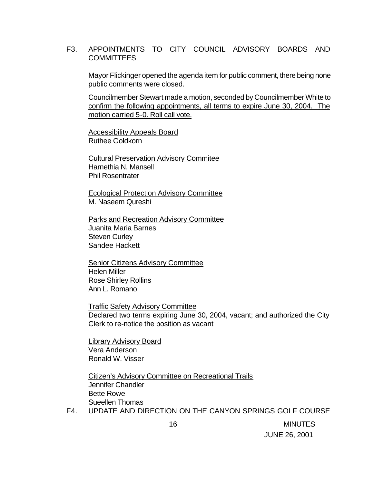#### F3. APPOINTMENTS TO CITY COUNCIL ADVISORY BOARDS AND COMMITTEES

Mayor Flickinger opened the agenda item for public comment, there being none public comments were closed.

Councilmember Stewart made a motion, seconded by Councilmember White to confirm the following appointments, all terms to expire June 30, 2004. The motion carried 5-0. Roll call vote.

Accessibility Appeals Board Ruthee Goldkorn

Cultural Preservation Advisory Commitee Harnethia N. Mansell Phil Rosentrater

Ecological Protection Advisory Committee M. Naseem Qureshi

Parks and Recreation Advisory Committee Juanita Maria Barnes Steven Curley Sandee Hackett

Senior Citizens Advisory Committee Helen Miller Rose Shirley Rollins Ann L. Romano

Traffic Safety Advisory Committee Declared two terms expiring June 30, 2004, vacant; and authorized the City Clerk to re-notice the position as vacant

Library Advisory Board Vera Anderson Ronald W. Visser

Citizen's Advisory Committee on Recreational Trails Jennifer Chandler Bette Rowe Sueellen Thomas

F4. UPDATE AND DIRECTION ON THE CANYON SPRINGS GOLF COURSE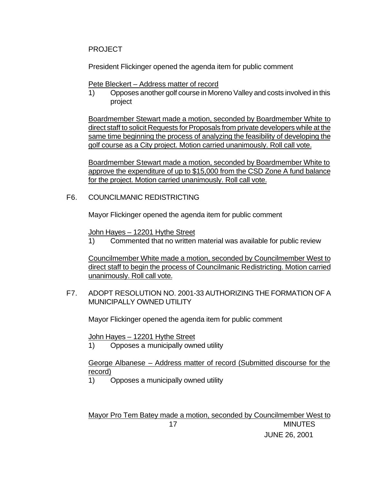## PROJECT

President Flickinger opened the agenda item for public comment

Pete Bleckert – Address matter of record

1) Opposes another golf course in Moreno Valley and costs involved in this project

Boardmember Stewart made a motion, seconded by Boardmember White to direct staff to solicit Requests for Proposals from private developers while at the same time beginning the process of analyzing the feasibility of developing the golf course as a City project. Motion carried unanimously. Roll call vote.

Boardmember Stewart made a motion, seconded by Boardmember White to approve the expenditure of up to \$15,000 from the CSD Zone A fund balance for the project. Motion carried unanimously. Roll call vote.

## F6. COUNCILMANIC REDISTRICTING

Mayor Flickinger opened the agenda item for public comment

John Hayes – 12201 Hythe Street

1) Commented that no written material was available for public review

Councilmember White made a motion, seconded by Councilmember West to direct staff to begin the process of Councilmanic Redistricting. Motion carried unanimously. Roll call vote.

F7. ADOPT RESOLUTION NO. 2001-33 AUTHORIZING THE FORMATION OF A MUNICIPALLY OWNED UTILITY

Mayor Flickinger opened the agenda item for public comment

John Hayes – 12201 Hythe Street

1) Opposes a municipally owned utility

George Albanese – Address matter of record (Submitted discourse for the record)

1) Opposes a municipally owned utility

 17 MINUTES JUNE 26, 2001 Mayor Pro Tem Batey made a motion, seconded by Councilmember West to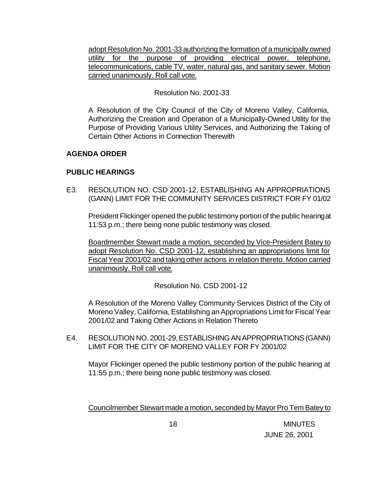adopt Resolution No. 2001-33 authorizing the formation of a municipally owned utility for the purpose of providing electrical power, telephone, telecommunications, cable TV, water, natural gas, and sanitary sewer. Motion carried unanimously. Roll call vote.

## Resolution No. 2001-33

A Resolution of the City Council of the City of Moreno Valley, California, Authorizing the Creation and Operation of a Municipally-Owned Utility for the Purpose of Providing Various Utility Services, and Authorizing the Taking of Certain Other Actions in Connection Therewith

## **AGENDA ORDER**

## **PUBLIC HEARINGS**

E3. RESOLUTION NO. CSD 2001-12, ESTABLISHING AN APPROPRIATIONS (GANN) LIMIT FOR THE COMMUNITY SERVICES DISTRICT FOR FY 01/02

President Flickinger opened the public testimony portion of the public hearing at 11:53 p.m.; there being none public testimony was closed.

Boardmember Stewart made a motion, seconded by Vice-President Batey to adopt Resolution No. CSD 2001-12, establishing an appropriations limit for Fiscal Year 2001/02 and taking other actions in relation thereto. Motion carried unanimously. Roll call vote.

Resolution No. CSD 2001-12

A Resolution of the Moreno Valley Community Services District of the City of Moreno Valley, California, Establishing an Appropriations Limit for Fiscal Year 2001/02 and Taking Other Actions in Relation Thereto

E4. RESOLUTION NO. 2001-29, ESTABLISHING AN APPROPRIATIONS (GANN) LIMIT FOR THE CITY OF MORENO VALLEY FOR FY 2001/02

Mayor Flickinger opened the public testimony portion of the public hearing at 11:55 p.m.; there being none public testimony was closed.

Councilmember Stewart made a motion, seconded by Mayor Pro Tem Batey to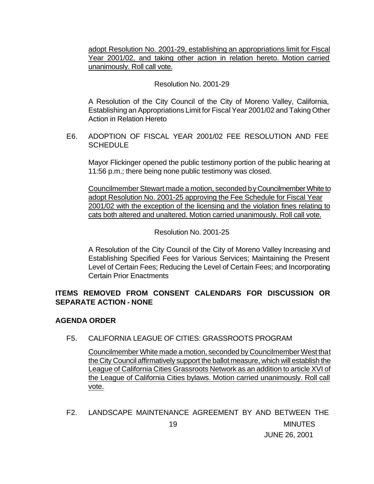adopt Resolution No. 2001-29, establishing an appropriations limit for Fiscal Year 2001/02, and taking other action in relation hereto. Motion carried unanimously. Roll call vote.

#### Resolution No. 2001-29

A Resolution of the City Council of the City of Moreno Valley, California, Establishing an Appropriations Limit for Fiscal Year 2001/02 and Taking Other Action in Relation Hereto

E6. ADOPTION OF FISCAL YEAR 2001/02 FEE RESOLUTION AND FEE **SCHEDULE** 

Mayor Flickinger opened the public testimony portion of the public hearing at 11:56 p.m.; there being none public testimony was closed.

Councilmember Stewart made a motion, seconded by Councilmember White to adopt Resolution No. 2001-25 approving the Fee Schedule for Fiscal Year 2001/02 with the exception of the licensing and the violation fines relating to cats both altered and unaltered. Motion carried unanimously. Roll call vote.

Resolution No. 2001-25

A Resolution of the City Council of the City of Moreno Valley Increasing and Establishing Specified Fees for Various Services; Maintaining the Present Level of Certain Fees; Reducing the Level of Certain Fees; and Incorporating Certain Prior Enactments

## **ITEMS REMOVED FROM CONSENT CALENDARS FOR DISCUSSION OR SEPARATE ACTION - NONE**

## **AGENDA ORDER**

F5. CALIFORNIA LEAGUE OF CITIES: GRASSROOTS PROGRAM

Councilmember White made a motion, seconded by Councilmember West that the City Council affirmatively support the ballot measure, which will establish the League of California Cities Grassroots Network as an addition to article XVI of the League of California Cities bylaws. Motion carried unanimously. Roll call vote.

 19 MINUTES JUNE 26, 2001 F2. LANDSCAPE MAINTENANCE AGREEMENT BY AND BETWEEN THE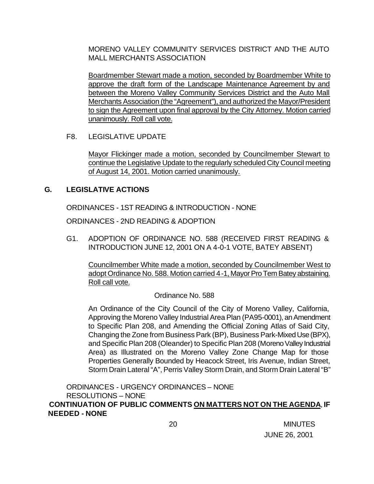MORENO VALLEY COMMUNITY SERVICES DISTRICT AND THE AUTO MALL MERCHANTS ASSOCIATION

Boardmember Stewart made a motion, seconded by Boardmember White to approve the draft form of the Landscape Maintenance Agreement by and between the Moreno Valley Community Services District and the Auto Mall Merchants Association (the "Agreement"), and authorized the Mayor/President to sign the Agreement upon final approval by the City Attorney. Motion carried unanimously. Roll call vote.

F8. LEGISLATIVE UPDATE

Mayor Flickinger made a motion, seconded by Councilmember Stewart to continue the Legislative Update to the regularly scheduled City Council meeting of August 14, 2001. Motion carried unanimously.

## **G. LEGISLATIVE ACTIONS**

ORDINANCES - 1ST READING & INTRODUCTION - NONE

ORDINANCES - 2ND READING & ADOPTION

G1. ADOPTION OF ORDINANCE NO. 588 (RECEIVED FIRST READING & INTRODUCTION JUNE 12, 2001 ON A 4-0-1 VOTE, BATEY ABSENT)

Councilmember White made a motion, seconded by Councilmember West to adopt Ordinance No. 588. Motion carried 4-1, Mayor Pro Tem Batey abstaining. Roll call vote.

Ordinance No. 588

An Ordinance of the City Council of the City of Moreno Valley, California, Approving the Moreno Valley Industrial Area Plan (PA95-0001), an Amendment to Specific Plan 208, and Amending the Official Zoning Atlas of Said City, Changing the Zone from Business Park (BP), Business Park-Mixed Use (BPX), and Specific Plan 208 (Oleander) to Specific Plan 208 (Moreno Valley Industrial Area) as Illustrated on the Moreno Valley Zone Change Map for those Properties Generally Bounded by Heacock Street, Iris Avenue, Indian Street, Storm Drain Lateral "A", Perris Valley Storm Drain, and Storm Drain Lateral "B"

ORDINANCES - URGENCY ORDINANCES – NONE RESOLUTIONS – NONE  **CONTINUATION OF PUBLIC COMMENTS ON MATTERS NOT ON THE AGENDA**, **IF NEEDED - NONE**